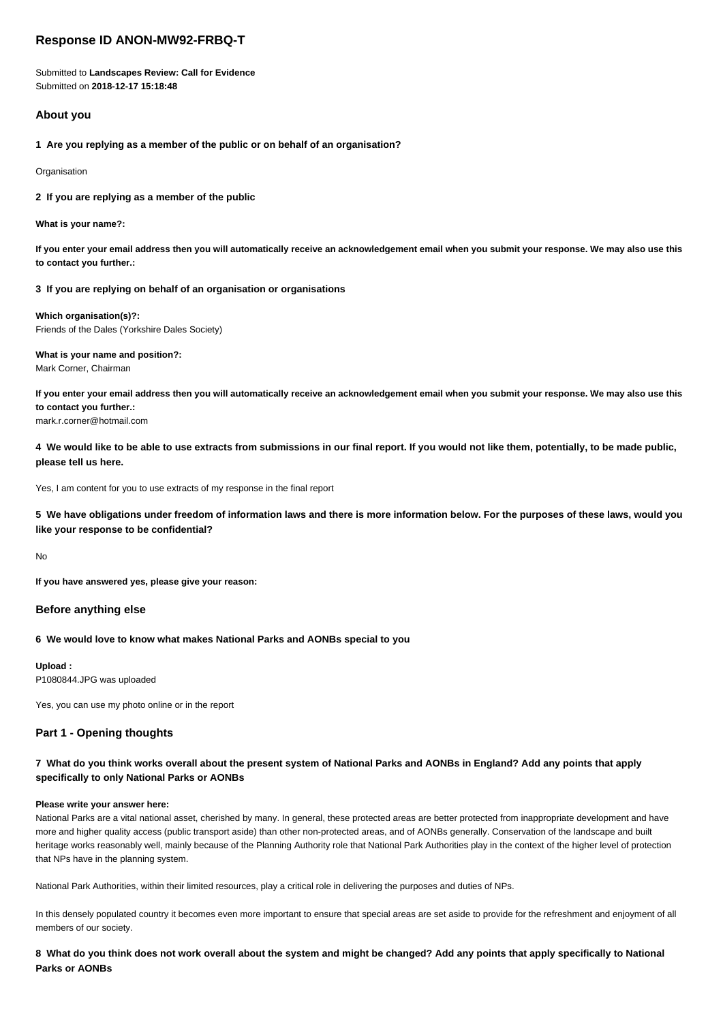# **Response ID ANON-MW92-FRBQ-T**

Submitted to **Landscapes Review: Call for Evidence** Submitted on **2018-12-17 15:18:48**

## **About you**

**1 Are you replying as a member of the public or on behalf of an organisation?**

**Organisation** 

**2 If you are replying as a member of the public**

**What is your name?:**

**If you enter your email address then you will automatically receive an acknowledgement email when you submit your response. We may also use this to contact you further.:**

**3 If you are replying on behalf of an organisation or organisations**

**Which organisation(s)?:** Friends of the Dales (Yorkshire Dales Society)

**What is your name and position?:** Mark Corner, Chairman

**If you enter your email address then you will automatically receive an acknowledgement email when you submit your response. We may also use this to contact you further.:**

mark.r.corner@hotmail.com

**4 We would like to be able to use extracts from submissions in our final report. If you would not like them, potentially, to be made public, please tell us here.**

Yes, I am content for you to use extracts of my response in the final report

**5 We have obligations under freedom of information laws and there is more information below. For the purposes of these laws, would you like your response to be confidential?**

No

**If you have answered yes, please give your reason:**

## **Before anything else**

## **6 We would love to know what makes National Parks and AONBs special to you**

**Upload :** P1080844.JPG was uploaded

Yes, you can use my photo online or in the report

## **Part 1 - Opening thoughts**

## **7 What do you think works overall about the present system of National Parks and AONBs in England? Add any points that apply specifically to only National Parks or AONBs**

#### **Please write your answer here:**

National Parks are a vital national asset, cherished by many. In general, these protected areas are better protected from inappropriate development and have more and higher quality access (public transport aside) than other non-protected areas, and of AONBs generally. Conservation of the landscape and built heritage works reasonably well, mainly because of the Planning Authority role that National Park Authorities play in the context of the higher level of protection that NPs have in the planning system.

National Park Authorities, within their limited resources, play a critical role in delivering the purposes and duties of NPs.

In this densely populated country it becomes even more important to ensure that special areas are set aside to provide for the refreshment and enjoyment of all members of our society.

**8 What do you think does not work overall about the system and might be changed? Add any points that apply specifically to National Parks or AONBs**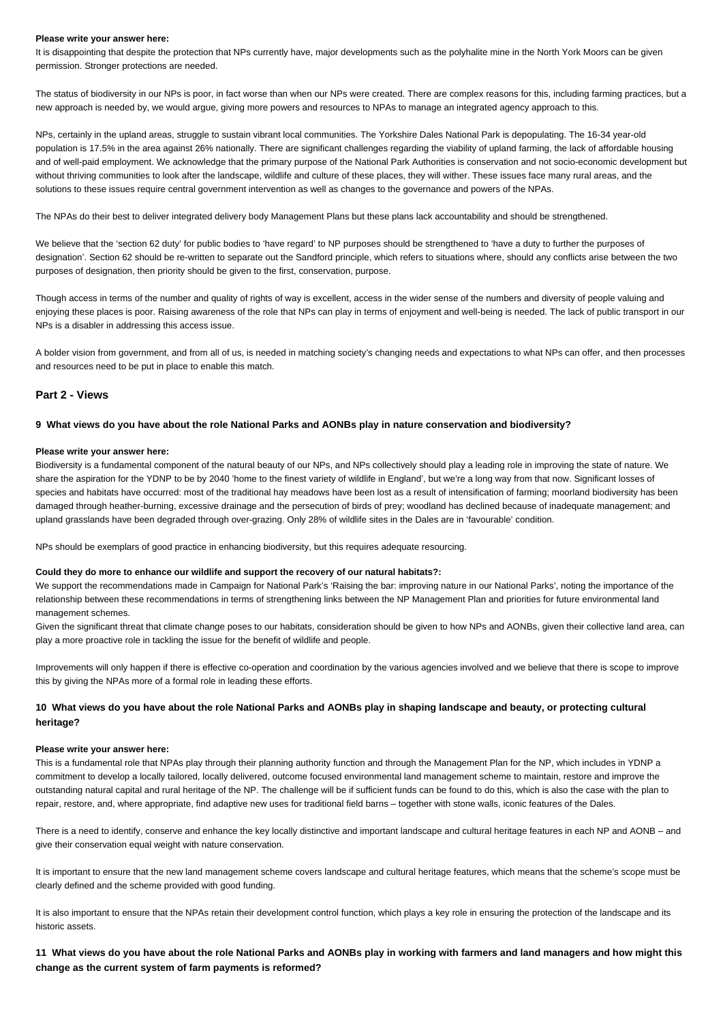#### **Please write your answer here:**

It is disappointing that despite the protection that NPs currently have, major developments such as the polyhalite mine in the North York Moors can be given permission. Stronger protections are needed.

The status of biodiversity in our NPs is poor, in fact worse than when our NPs were created. There are complex reasons for this, including farming practices, but a new approach is needed by, we would argue, giving more powers and resources to NPAs to manage an integrated agency approach to this.

NPs, certainly in the upland areas, struggle to sustain vibrant local communities. The Yorkshire Dales National Park is depopulating. The 16-34 year-old population is 17.5% in the area against 26% nationally. There are significant challenges regarding the viability of upland farming, the lack of affordable housing and of well-paid employment. We acknowledge that the primary purpose of the National Park Authorities is conservation and not socio-economic development but without thriving communities to look after the landscape, wildlife and culture of these places, they will wither. These issues face many rural areas, and the solutions to these issues require central government intervention as well as changes to the governance and powers of the NPAs.

The NPAs do their best to deliver integrated delivery body Management Plans but these plans lack accountability and should be strengthened.

We believe that the 'section 62 duty' for public bodies to 'have regard' to NP purposes should be strengthened to 'have a duty to further the purposes of designation'. Section 62 should be re-written to separate out the Sandford principle, which refers to situations where, should any conflicts arise between the two purposes of designation, then priority should be given to the first, conservation, purpose.

Though access in terms of the number and quality of rights of way is excellent, access in the wider sense of the numbers and diversity of people valuing and enjoying these places is poor. Raising awareness of the role that NPs can play in terms of enjoyment and well-being is needed. The lack of public transport in our NPs is a disabler in addressing this access issue.

A bolder vision from government, and from all of us, is needed in matching society's changing needs and expectations to what NPs can offer, and then processes and resources need to be put in place to enable this match.

## **Part 2 - Views**

#### **9 What views do you have about the role National Parks and AONBs play in nature conservation and biodiversity?**

#### **Please write your answer here:**

Biodiversity is a fundamental component of the natural beauty of our NPs, and NPs collectively should play a leading role in improving the state of nature. We share the aspiration for the YDNP to be by 2040 'home to the finest variety of wildlife in England', but we're a long way from that now. Significant losses of species and habitats have occurred: most of the traditional hay meadows have been lost as a result of intensification of farming; moorland biodiversity has been damaged through heather-burning, excessive drainage and the persecution of birds of prey; woodland has declined because of inadequate management; and upland grasslands have been degraded through over-grazing. Only 28% of wildlife sites in the Dales are in 'favourable' condition.

NPs should be exemplars of good practice in enhancing biodiversity, but this requires adequate resourcing.

### **Could they do more to enhance our wildlife and support the recovery of our natural habitats?:**

We support the recommendations made in Campaign for National Park's 'Raising the bar: improving nature in our National Parks', noting the importance of the relationship between these recommendations in terms of strengthening links between the NP Management Plan and priorities for future environmental land management schemes.

Given the significant threat that climate change poses to our habitats, consideration should be given to how NPs and AONBs, given their collective land area, can play a more proactive role in tackling the issue for the benefit of wildlife and people.

Improvements will only happen if there is effective co-operation and coordination by the various agencies involved and we believe that there is scope to improve this by giving the NPAs more of a formal role in leading these efforts.

## **10 What views do you have about the role National Parks and AONBs play in shaping landscape and beauty, or protecting cultural heritage?**

#### **Please write your answer here:**

This is a fundamental role that NPAs play through their planning authority function and through the Management Plan for the NP, which includes in YDNP a commitment to develop a locally tailored, locally delivered, outcome focused environmental land management scheme to maintain, restore and improve the outstanding natural capital and rural heritage of the NP. The challenge will be if sufficient funds can be found to do this, which is also the case with the plan to repair, restore, and, where appropriate, find adaptive new uses for traditional field barns – together with stone walls, iconic features of the Dales.

There is a need to identify, conserve and enhance the key locally distinctive and important landscape and cultural heritage features in each NP and AONB – and give their conservation equal weight with nature conservation.

It is important to ensure that the new land management scheme covers landscape and cultural heritage features, which means that the scheme's scope must be clearly defined and the scheme provided with good funding.

It is also important to ensure that the NPAs retain their development control function, which plays a key role in ensuring the protection of the landscape and its historic assets.

**11 What views do you have about the role National Parks and AONBs play in working with farmers and land managers and how might this change as the current system of farm payments is reformed?**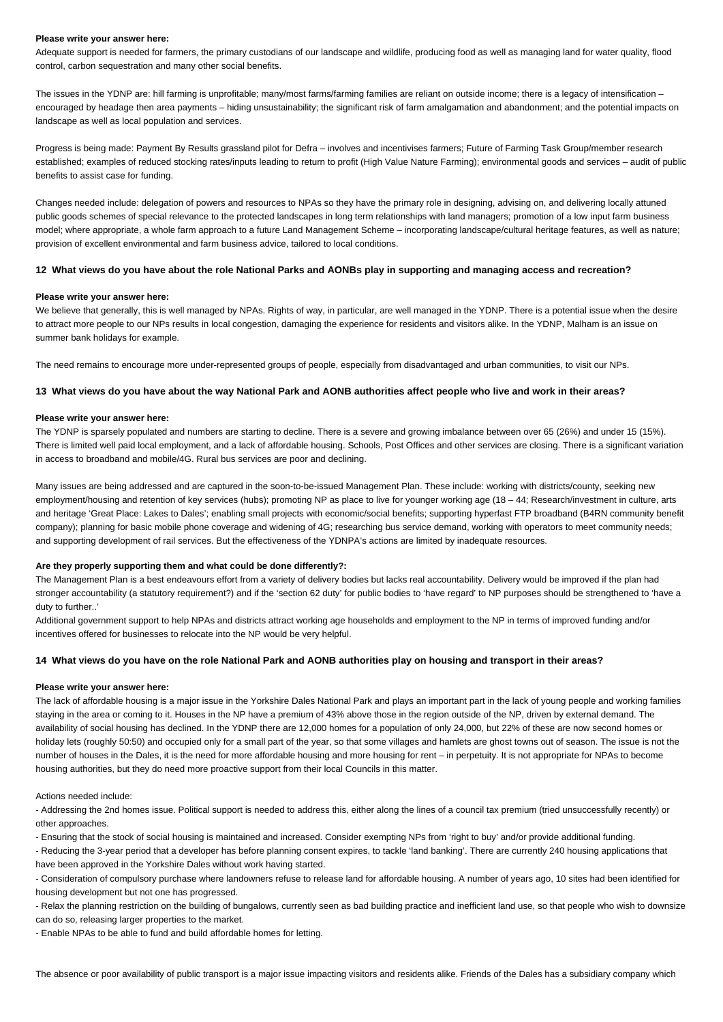#### **Please write your answer here:**

Adequate support is needed for farmers, the primary custodians of our landscape and wildlife, producing food as well as managing land for water quality, flood control, carbon sequestration and many other social benefits.

The issues in the YDNP are: hill farming is unprofitable; many/most farms/farming families are reliant on outside income; there is a legacy of intensification – encouraged by headage then area payments – hiding unsustainability; the significant risk of farm amalgamation and abandonment; and the potential impacts on landscape as well as local population and services.

Progress is being made: Payment By Results grassland pilot for Defra – involves and incentivises farmers; Future of Farming Task Group/member research established; examples of reduced stocking rates/inputs leading to return to profit (High Value Nature Farming); environmental goods and services – audit of public benefits to assist case for funding.

Changes needed include: delegation of powers and resources to NPAs so they have the primary role in designing, advising on, and delivering locally attuned public goods schemes of special relevance to the protected landscapes in long term relationships with land managers; promotion of a low input farm business model; where appropriate, a whole farm approach to a future Land Management Scheme – incorporating landscape/cultural heritage features, as well as nature; provision of excellent environmental and farm business advice, tailored to local conditions.

#### **12 What views do you have about the role National Parks and AONBs play in supporting and managing access and recreation?**

#### **Please write your answer here:**

We believe that generally, this is well managed by NPAs. Rights of way, in particular, are well managed in the YDNP. There is a potential issue when the desire to attract more people to our NPs results in local congestion, damaging the experience for residents and visitors alike. In the YDNP, Malham is an issue on summer bank holidays for example.

The need remains to encourage more under-represented groups of people, especially from disadvantaged and urban communities, to visit our NPs.

## **13 What views do you have about the way National Park and AONB authorities affect people who live and work in their areas?**

### **Please write your answer here:**

The YDNP is sparsely populated and numbers are starting to decline. There is a severe and growing imbalance between over 65 (26%) and under 15 (15%). There is limited well paid local employment, and a lack of affordable housing. Schools, Post Offices and other services are closing. There is a significant variation in access to broadband and mobile/4G. Rural bus services are poor and declining.

Many issues are being addressed and are captured in the soon-to-be-issued Management Plan. These include: working with districts/county, seeking new employment/housing and retention of key services (hubs); promoting NP as place to live for younger working age (18 - 44; Research/investment in culture, arts and heritage 'Great Place: Lakes to Dales'; enabling small projects with economic/social benefits; supporting hyperfast FTP broadband (B4RN community benefit company); planning for basic mobile phone coverage and widening of 4G; researching bus service demand, working with operators to meet community needs; and supporting development of rail services. But the effectiveness of the YDNPA's actions are limited by inadequate resources.

### **Are they properly supporting them and what could be done differently?:**

The Management Plan is a best endeavours effort from a variety of delivery bodies but lacks real accountability. Delivery would be improved if the plan had stronger accountability (a statutory requirement?) and if the 'section 62 duty' for public bodies to 'have regard' to NP purposes should be strengthened to 'have a duty to further..'

Additional government support to help NPAs and districts attract working age households and employment to the NP in terms of improved funding and/or incentives offered for businesses to relocate into the NP would be very helpful.

### **14 What views do you have on the role National Park and AONB authorities play on housing and transport in their areas?**

#### **Please write your answer here:**

The lack of affordable housing is a major issue in the Yorkshire Dales National Park and plays an important part in the lack of young people and working families staying in the area or coming to it. Houses in the NP have a premium of 43% above those in the region outside of the NP, driven by external demand. The availability of social housing has declined. In the YDNP there are 12,000 homes for a population of only 24,000, but 22% of these are now second homes or holiday lets (roughly 50:50) and occupied only for a small part of the year, so that some villages and hamlets are ghost towns out of season. The issue is not the number of houses in the Dales, it is the need for more affordable housing and more housing for rent – in perpetuity. It is not appropriate for NPAs to become housing authorities, but they do need more proactive support from their local Councils in this matter.

Actions needed include:

- Addressing the 2nd homes issue. Political support is needed to address this, either along the lines of a council tax premium (tried unsuccessfully recently) or other approaches.

- Ensuring that the stock of social housing is maintained and increased. Consider exempting NPs from 'right to buy' and/or provide additional funding.

- Reducing the 3-year period that a developer has before planning consent expires, to tackle 'land banking'. There are currently 240 housing applications that have been approved in the Yorkshire Dales without work having started.

- Consideration of compulsory purchase where landowners refuse to release land for affordable housing. A number of years ago, 10 sites had been identified for housing development but not one has progressed.

- Relax the planning restriction on the building of bungalows, currently seen as bad building practice and inefficient land use, so that people who wish to downsize can do so, releasing larger properties to the market.

- Enable NPAs to be able to fund and build affordable homes for letting.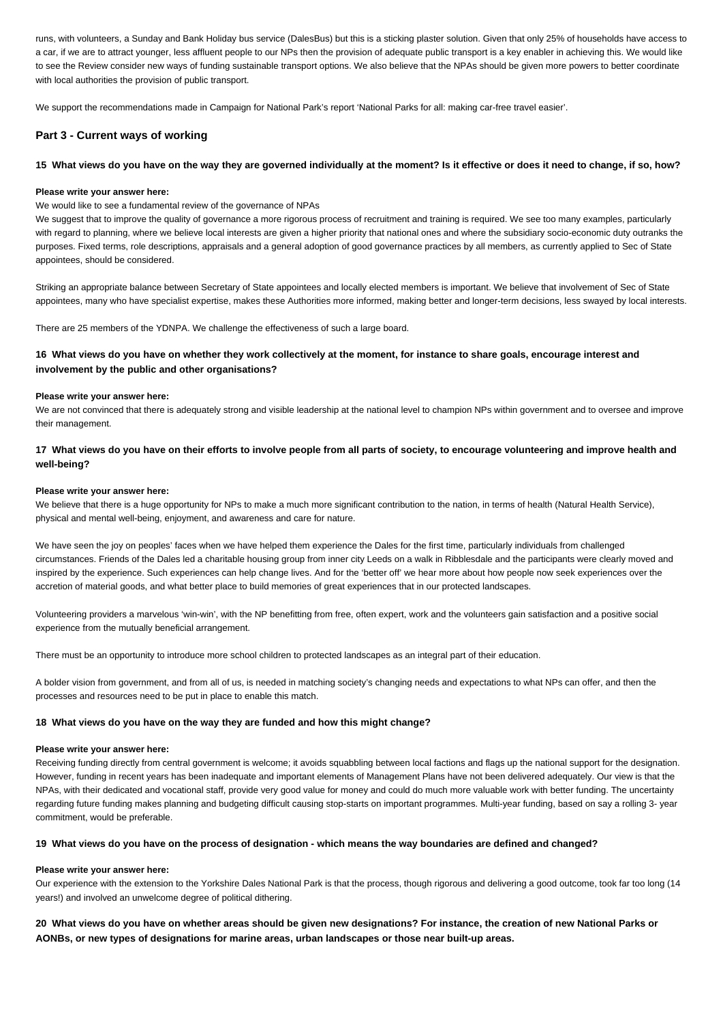runs, with volunteers, a Sunday and Bank Holiday bus service (DalesBus) but this is a sticking plaster solution. Given that only 25% of households have access to a car, if we are to attract younger, less affluent people to our NPs then the provision of adequate public transport is a key enabler in achieving this. We would like to see the Review consider new ways of funding sustainable transport options. We also believe that the NPAs should be given more powers to better coordinate with local authorities the provision of public transport.

We support the recommendations made in Campaign for National Park's report 'National Parks for all: making car-free travel easier'.

## **Part 3 - Current ways of working**

## **15 What views do you have on the way they are governed individually at the moment? Is it effective or does it need to change, if so, how?**

### **Please write your answer here:**

## We would like to see a fundamental review of the governance of NPAs

We suggest that to improve the quality of governance a more rigorous process of recruitment and training is required. We see too many examples, particularly with regard to planning, where we believe local interests are given a higher priority that national ones and where the subsidiary socio-economic duty outranks the purposes. Fixed terms, role descriptions, appraisals and a general adoption of good governance practices by all members, as currently applied to Sec of State appointees, should be considered.

Striking an appropriate balance between Secretary of State appointees and locally elected members is important. We believe that involvement of Sec of State appointees, many who have specialist expertise, makes these Authorities more informed, making better and longer-term decisions, less swayed by local interests.

There are 25 members of the YDNPA. We challenge the effectiveness of such a large board.

## **16 What views do you have on whether they work collectively at the moment, for instance to share goals, encourage interest and involvement by the public and other organisations?**

#### **Please write your answer here:**

We are not convinced that there is adequately strong and visible leadership at the national level to champion NPs within government and to oversee and improve their management.

## **17 What views do you have on their efforts to involve people from all parts of society, to encourage volunteering and improve health and well-being?**

#### **Please write your answer here:**

We believe that there is a huge opportunity for NPs to make a much more significant contribution to the nation, in terms of health (Natural Health Service), physical and mental well-being, enjoyment, and awareness and care for nature.

We have seen the joy on peoples' faces when we have helped them experience the Dales for the first time, particularly individuals from challenged circumstances. Friends of the Dales led a charitable housing group from inner city Leeds on a walk in Ribblesdale and the participants were clearly moved and inspired by the experience. Such experiences can help change lives. And for the 'better off' we hear more about how people now seek experiences over the accretion of material goods, and what better place to build memories of great experiences that in our protected landscapes.

Volunteering providers a marvelous 'win-win', with the NP benefitting from free, often expert, work and the volunteers gain satisfaction and a positive social experience from the mutually beneficial arrangement.

There must be an opportunity to introduce more school children to protected landscapes as an integral part of their education.

A bolder vision from government, and from all of us, is needed in matching society's changing needs and expectations to what NPs can offer, and then the processes and resources need to be put in place to enable this match.

## **18 What views do you have on the way they are funded and how this might change?**

#### **Please write your answer here:**

Receiving funding directly from central government is welcome; it avoids squabbling between local factions and flags up the national support for the designation. However, funding in recent years has been inadequate and important elements of Management Plans have not been delivered adequately. Our view is that the NPAs, with their dedicated and vocational staff, provide very good value for money and could do much more valuable work with better funding. The uncertainty regarding future funding makes planning and budgeting difficult causing stop-starts on important programmes. Multi-year funding, based on say a rolling 3- year commitment, would be preferable.

## **19 What views do you have on the process of designation - which means the way boundaries are defined and changed?**

#### **Please write your answer here:**

Our experience with the extension to the Yorkshire Dales National Park is that the process, though rigorous and delivering a good outcome, took far too long (14 years!) and involved an unwelcome degree of political dithering.

**20 What views do you have on whether areas should be given new designations? For instance, the creation of new National Parks or AONBs, or new types of designations for marine areas, urban landscapes or those near built-up areas.**